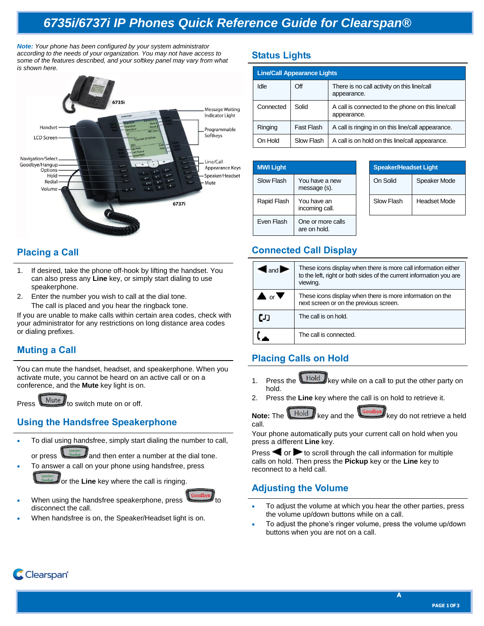# *6735i/6737i IP Phones Quick Reference Guide for Clearspan®*

*Note: Your phone has been configured by your system administrator according to the needs of your organization. You may not have access to some of the features described, and your softkey panel may vary from what is shown here.*



# **Placing a Call**

- 1. If desired, take the phone off-hook by lifting the handset. You can also press any **Line** key, or simply start dialing to use speakerphone.
- 2. Enter the number you wish to call at the dial tone. The call is placed and you hear the ringback tone.

If you are unable to make calls within certain area codes, check with your administrator for any restrictions on long distance area codes or dialing prefixes.

## **Muting a Call**

You can mute the handset, headset, and speakerphone. When you activate mute, you cannot be heard on an active call or on a conference, and the **Mute** key light is on.

Press **Mute** to switch mute on or off.

# **Using the Handsfree Speakerphone**

To dial using handsfree, simply start dialing the number to call,

or press  $\Box$  Headset and then enter a number at the dial tone. To answer a call on your phone using handsfree, press

or the **Line** key where the call is ringing.



- When using the handsfree speakerphone, press disconnect the call.
- When handsfree is on, the Speaker/Headset light is on.

# **Status Lights**

| <b>Line/Call Appearance Lights</b> |            |                                                                   |  |  |
|------------------------------------|------------|-------------------------------------------------------------------|--|--|
| Idle                               | Off        | There is no call activity on this line/call<br>appearance.        |  |  |
| Connected                          | Solid      | A call is connected to the phone on this line/call<br>appearance. |  |  |
| Ringing                            | Fast Flash | A call is ringing in on this line/call appearance.                |  |  |
| On Hold                            | Slow Flash | A call is on hold on this line/call appearance.                   |  |  |

| <b>MWI Light</b> |                                   | <b>Speaker/Headset Light</b> |        |
|------------------|-----------------------------------|------------------------------|--------|
| Slow Flash       | You have a new<br>message (s).    | On Solid                     | Speake |
| Rapid Flash      | You have an<br>incoming call.     | Slow Flash                   | Headse |
| Even Flash       | One or more calls<br>are on hold. |                              |        |

| <b>Speaker/Headset Light</b> |                     |  |
|------------------------------|---------------------|--|
| On Solid                     | Speaker Mode        |  |
| Slow Flash                   | <b>Headset Mode</b> |  |

## **Connected Call Display**

| $\mathsf{I}_{\mathsf{and}}$              | These icons display when there is more call information either<br>to the left, right or both sides of the current information you are<br>viewing. |  |
|------------------------------------------|---------------------------------------------------------------------------------------------------------------------------------------------------|--|
| $\blacktriangle$ or $\blacktriangledown$ | These icons display when there is more information on the<br>next screen or on the previous screen.                                               |  |
| ເມ                                       | The call is on hold.                                                                                                                              |  |
|                                          | The call is connected.                                                                                                                            |  |

# **Placing Calls on Hold**

- 1. Press the **Hold** key while on a call to put the other party on hold.
- 2. Press the **Line** key where the call is on hold to retrieve it.

**Note:** The **Hold** key and the **key do not retrieve a held** call.

Your phone automatically puts your current call on hold when you press a different **Line** key.

Press  $\blacksquare$  or  $\blacktriangleright$  to scroll through the call information for multiple calls on hold. Then press the **Pickup** key or the **Line** key to reconnect to a held call.

# **Adjusting the Volume**

- To adjust the volume at which you hear the other parties, press the volume up/down buttons while on a call.
- To adjust the phone's ringer volume, press the volume up/down buttons when you are not on a call.



**A**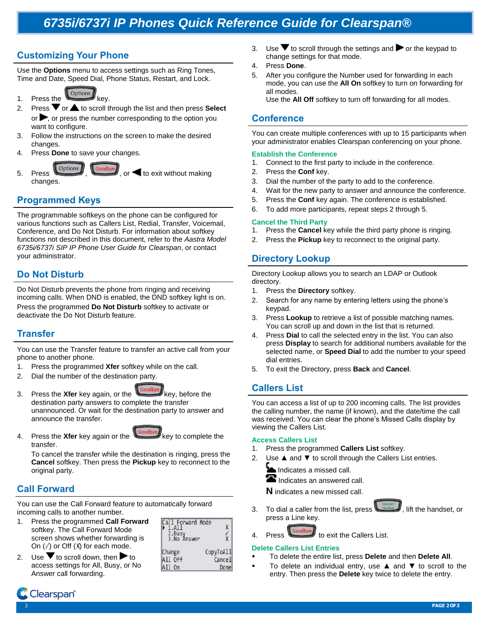# *6735i/6737i IP Phones Quick Reference Guide for Clearspan®*

# **Customizing Your Phone**

Use the **Options** menu to access settings such as Ring Tones, Time and Date, Speed Dial, Phone Status, Restart, and Lock.

- 1. Press the options key.
- 2. Press  $\blacktriangledown$  or  $\blacktriangle$  to scroll through the list and then press **Select** or  $\blacktriangleright$ , or press the number corresponding to the option you want to configure.
- 3. Follow the instructions on the screen to make the desired changes.
- Press **Done** to save your changes.
- Ontions  $\overline{5}$ . Press  $\overline{1}$ ,  $\overline{1}$ , or  $\overline{2}$  to exit without making changes.

## **Programmed Keys**

The programmable softkeys on the phone can be configured for various functions such as Callers List, Redial, Transfer, Voicemail, Conference, and Do Not Disturb. For information about softkey functions not described in this document, refer to the *Aastra Model 6735i/6737i SIP IP Phone User Guide for Clearspan*, or contact your administrator.

## **Do Not Disturb**

Do Not Disturb prevents the phone from ringing and receiving incoming calls. When DND is enabled, the DND softkey light is on. Press the programmed **Do Not Disturb** softkey to activate or deactivate the Do Not Disturb feature.

## **Transfer**

You can use the Transfer feature to transfer an active call from your phone to another phone.

- 1. Press the programmed **Xfer** softkey while on the call.
- 2. Dial the number of the destination party.
- 3. Press the **Xfer** key again, or the key, before the destination party answers to complete the transfer unannounced. Or wait for the destination party to answer and announce the transfer.
- 4. Press the Xfer key again or the key to complete the transfer.



To cancel the transfer while the destination is ringing, press the **Cancel** softkey. Then press the **Pickup** key to reconnect to the original party.

# **Call Forward**

You can use the Call Forward feature to automatically forward incoming calls to another number.

- 1. Press the programmed **Call Forward** softkey. The Call Forward Mode screen shows whether forwarding is On  $(\sqrt{})$  or Off  $(\%)$  for each mode.
- 2. Use  $\blacktriangledown$  to scroll down, then  $\blacktriangleright$  to access settings for All, Busy, or No Answer call forwarding.

| Forward Mode<br>2.Busy<br>3.No Answer |           |
|---------------------------------------|-----------|
| Change                                | CopyToA11 |
| All Off                               | Cancel    |
| A11<br>0n                             | Donel     |

- 3. Use  $\blacktriangledown$  to scroll through the settings and  $\blacktriangleright$  or the keypad to change settings for that mode.
- 4. Press **Done**.
- 5. After you configure the Number used for forwarding in each mode, you can use the **All On** softkey to turn on forwarding for all modes. Use the **All Off** softkey to turn off forwarding for all modes.

## **Conference**

You can create multiple conferences with up to 15 participants when your administrator enables Clearspan conferencing on your phone.

### **Establish the Conference**

- 1. Connect to the first party to include in the conference.
- 2. Press the **Conf** key.
- 3. Dial the number of the party to add to the conference.
- 4. Wait for the new party to answer and announce the conference.
- 5. Press the **Conf** key again. The conference is established.
- 6. To add more participants, repeat steps 2 through 5.

### **Cancel the Third Party**

- 1. Press the **Cancel** key while the third party phone is ringing.
- Press the **Pickup** key to reconnect to the original party.

## **Directory Lookup**

Directory Lookup allows you to search an LDAP or Outlook directory.

- 1. Press the **Directory** softkey.
- 2. Search for any name by entering letters using the phone's keypad.
- 3. Press **Lookup** to retrieve a list of possible matching names. You can scroll up and down in the list that is returned.
- 4. Press **Dial** to call the selected entry in the list. You can also press **Display** to search for additional numbers available for the selected name, or **Speed Dial** to add the number to your speed dial entries.
- 5. To exit the Directory, press **Back** and **Cancel**.

## **Callers List**

You can access a list of up to 200 incoming calls. The list provides the calling number, the name (if known), and the date/time the call was received. You can clear the phone's Missed Calls display by viewing the Callers List.

#### **Access Callers List**

- 1. Press the programmed **Callers List** softkey.
- 2. Use **▲** and ▼ to scroll through the Callers List entries.
	- Indicates a missed call.
	- $\blacksquare$  Indicates an answered call.

**N** indicates a new missed call.

To dial a caller from the list, press the Headset J, lift the handset, or press a Line key.

## 4. Press **the Callers List.** to exit the Callers List.

### **Delete Callers List Entries**

- To delete the entire list, press **Delete** and then **Delete All**.
	- To delete an individual entry, use ▲ and ▼ to scroll to the entry. Then press the **Delete** key twice to delete the entry.

Clearspan°